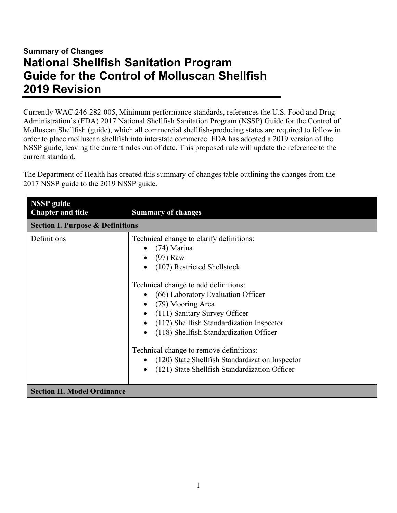## **Summary of Changes National Shellfish Sanitation Program Guide for the Control of Molluscan Shellfish 2019 Revision**

Currently WAC 246-282-005, Minimum performance standards, references the U.S. Food and Drug Administration's (FDA) 2017 National Shellfish Sanitation Program (NSSP) Guide for the Control of Molluscan Shellfish (guide), which all commercial shellfish-producing states are required to follow in order to place molluscan shellfish into interstate commerce. FDA has adopted a 2019 version of the NSSP guide, leaving the current rules out of date. This proposed rule will update the reference to the current standard.

The Department of Health has created this summary of changes table outlining the changes from the 2017 NSSP guide to the 2019 NSSP guide.

| <b>NSSP</b> guide<br><b>Chapter and title</b> | <b>Summary of changes</b>                                                                                                                                                                                                                                                                                                                                                                                                                                                           |
|-----------------------------------------------|-------------------------------------------------------------------------------------------------------------------------------------------------------------------------------------------------------------------------------------------------------------------------------------------------------------------------------------------------------------------------------------------------------------------------------------------------------------------------------------|
| <b>Section I. Purpose &amp; Definitions</b>   |                                                                                                                                                                                                                                                                                                                                                                                                                                                                                     |
| Definitions                                   | Technical change to clarify definitions:<br>$(74)$ Marina<br>$(97)$ Raw<br>(107) Restricted Shellstock<br>Technical change to add definitions:<br>• (66) Laboratory Evaluation Officer<br>(79) Mooring Area<br>(111) Sanitary Survey Officer<br>(117) Shellfish Standardization Inspector<br>(118) Shellfish Standardization Officer<br>Technical change to remove definitions:<br>(120) State Shellfish Standardization Inspector<br>(121) State Shellfish Standardization Officer |
| <b>Section II. Model Ordinance</b>            |                                                                                                                                                                                                                                                                                                                                                                                                                                                                                     |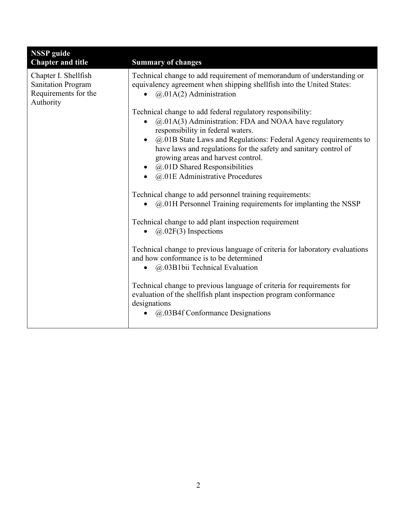| <b>NSSP</b> guide<br><b>Chapter and title</b>                                          | <b>Summary of changes</b>                                                                                                                                                                                                                                                                                                                                                                                              |
|----------------------------------------------------------------------------------------|------------------------------------------------------------------------------------------------------------------------------------------------------------------------------------------------------------------------------------------------------------------------------------------------------------------------------------------------------------------------------------------------------------------------|
| Chapter I. Shellfish<br><b>Sanitation Program</b><br>Requirements for the<br>Authority | Technical change to add requirement of memorandum of understanding or<br>equivalency agreement when shipping shellfish into the United States:<br>@.01A(2) Administration                                                                                                                                                                                                                                              |
|                                                                                        | Technical change to add federal regulatory responsibility:<br>@.01A(3) Administration: FDA and NOAA have regulatory<br>responsibility in federal waters.<br>@.01B State Laws and Regulations: Federal Agency requirements to<br>have laws and regulations for the safety and sanitary control of<br>growing areas and harvest control.<br>· @.01D Shared Responsibilities<br>$\bullet$ @.01E Administrative Procedures |
|                                                                                        | Technical change to add personnel training requirements:<br>$(a)$ O1H Personnel Training requirements for implanting the NSSP                                                                                                                                                                                                                                                                                          |
|                                                                                        | Technical change to add plant inspection requirement<br>$(2.02F(3)$ Inspections<br>$\bullet$                                                                                                                                                                                                                                                                                                                           |
|                                                                                        | Technical change to previous language of criteria for laboratory evaluations<br>and how conformance is to be determined<br>$\bullet$ @.03B1bii Technical Evaluation                                                                                                                                                                                                                                                    |
|                                                                                        | Technical change to previous language of criteria for requirements for<br>evaluation of the shellfish plant inspection program conformance<br>designations<br>@.03B4f Conformance Designations                                                                                                                                                                                                                         |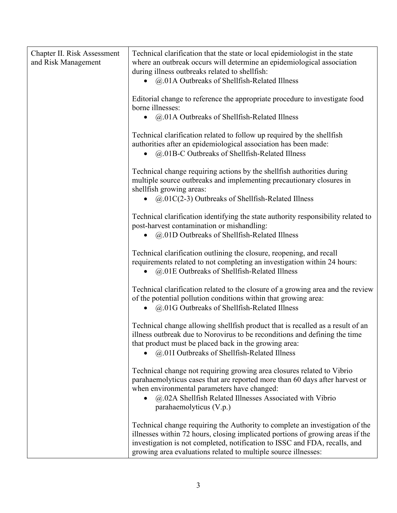| Chapter II. Risk Assessment<br>and Risk Management | Technical clarification that the state or local epidemiologist in the state<br>where an outbreak occurs will determine an epidemiological association<br>during illness outbreaks related to shellfish:<br>• @.01A Outbreaks of Shellfish-Related Illness                                                      |
|----------------------------------------------------|----------------------------------------------------------------------------------------------------------------------------------------------------------------------------------------------------------------------------------------------------------------------------------------------------------------|
|                                                    | Editorial change to reference the appropriate procedure to investigate food<br>borne illnesses:<br>@.01A Outbreaks of Shellfish-Related Illness<br>$\bullet$                                                                                                                                                   |
|                                                    | Technical clarification related to follow up required by the shellfish<br>authorities after an epidemiological association has been made:<br>@.01B-C Outbreaks of Shellfish-Related Illness<br>$\bullet$                                                                                                       |
|                                                    | Technical change requiring actions by the shellfish authorities during<br>multiple source outbreaks and implementing precautionary closures in<br>shellfish growing areas:<br>$\omega$ , 01C(2-3) Outbreaks of Shellfish-Related Illness                                                                       |
|                                                    | Technical clarification identifying the state authority responsibility related to<br>post-harvest contamination or mishandling:<br>@.01D Outbreaks of Shellfish-Related Illness<br>$\bullet$                                                                                                                   |
|                                                    | Technical clarification outlining the closure, reopening, and recall<br>requirements related to not completing an investigation within 24 hours:<br>@.01E Outbreaks of Shellfish-Related Illness<br>$\bullet$                                                                                                  |
|                                                    | Technical clarification related to the closure of a growing area and the review<br>of the potential pollution conditions within that growing area:<br>@.01G Outbreaks of Shellfish-Related Illness                                                                                                             |
|                                                    | Technical change allowing shellfish product that is recalled as a result of an<br>illness outbreak due to Norovirus to be reconditions and defining the time<br>that product must be placed back in the growing area:<br>@.01I Outbreaks of Shellfish-Related Illness                                          |
|                                                    | Technical change not requiring growing area closures related to Vibrio<br>parahaemolyticus cases that are reported more than 60 days after harvest or<br>when environmental parameters have changed:<br>@.02A Shellfish Related Illnesses Associated with Vibrio<br>$\bullet$<br>parahaemolyticus (V.p.)       |
|                                                    | Technical change requiring the Authority to complete an investigation of the<br>illnesses within 72 hours, closing implicated portions of growing areas if the<br>investigation is not completed, notification to ISSC and FDA, recalls, and<br>growing area evaluations related to multiple source illnesses: |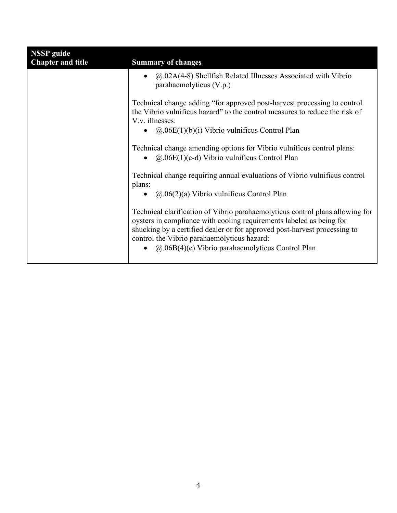| <b>NSSP</b> guide<br><b>Chapter and title</b> | <b>Summary of changes</b>                                                                                                                                                                                                                                                                                                                       |
|-----------------------------------------------|-------------------------------------------------------------------------------------------------------------------------------------------------------------------------------------------------------------------------------------------------------------------------------------------------------------------------------------------------|
|                                               | $\omega$ , 02A(4-8) Shellfish Related Illnesses Associated with Vibrio<br>parahaemolyticus (V.p.)                                                                                                                                                                                                                                               |
|                                               | Technical change adding "for approved post-harvest processing to control<br>the Vibrio vulnificus hazard" to the control measures to reduce the risk of<br>V.v. illnesses:<br>• $(\partial \Omega \cdot 06E(1)(b)(i))$ Vibrio vulnificus Control Plan                                                                                           |
|                                               | Technical change amending options for Vibrio vulnificus control plans:<br>• $(a)$ .06E(1)(c-d) Vibrio vulnificus Control Plan                                                                                                                                                                                                                   |
|                                               | Technical change requiring annual evaluations of Vibrio vulnificus control<br>plans:<br>• $(a.06(2)(a)$ Vibrio vulnificus Control Plan                                                                                                                                                                                                          |
|                                               | Technical clarification of Vibrio parahaemolyticus control plans allowing for<br>oysters in compliance with cooling requirements labeled as being for<br>shucking by a certified dealer or for approved post-harvest processing to<br>control the Vibrio parahaemolyticus hazard:<br>• $\omega$ .06B(4)(c) Vibrio parahaemolyticus Control Plan |
|                                               |                                                                                                                                                                                                                                                                                                                                                 |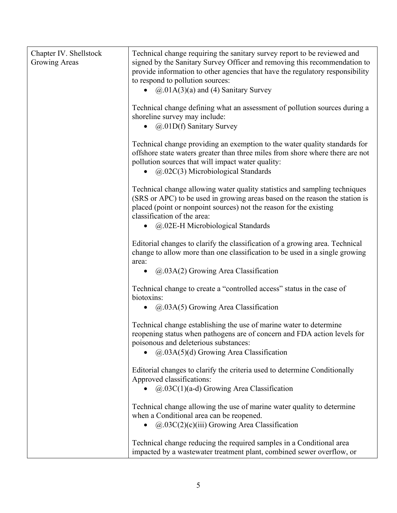| Chapter IV. Shellstock<br>Growing Areas | Technical change requiring the sanitary survey report to be reviewed and<br>signed by the Sanitary Survey Officer and removing this recommendation to<br>provide information to other agencies that have the regulatory responsibility<br>to respond to pollution sources:<br>• $(a)$ .01A(3)(a) and (4) Sanitary Survey |
|-----------------------------------------|--------------------------------------------------------------------------------------------------------------------------------------------------------------------------------------------------------------------------------------------------------------------------------------------------------------------------|
|                                         | Technical change defining what an assessment of pollution sources during a<br>shoreline survey may include:<br>$(a.01D(f)$ Sanitary Survey<br>$\bullet$                                                                                                                                                                  |
|                                         | Technical change providing an exemption to the water quality standards for<br>offshore state waters greater than three miles from shore where there are not<br>pollution sources that will impact water quality:<br>$\bullet$ ( $\omega$ ,02C(3) Microbiological Standards                                               |
|                                         | Technical change allowing water quality statistics and sampling techniques<br>(SRS or APC) to be used in growing areas based on the reason the station is<br>placed (point or nonpoint sources) not the reason for the existing<br>classification of the area:                                                           |
|                                         | @.02E-H Microbiological Standards                                                                                                                                                                                                                                                                                        |
|                                         | Editorial changes to clarify the classification of a growing area. Technical<br>change to allow more than one classification to be used in a single growing<br>area:                                                                                                                                                     |
|                                         | $(a.03A(2)$ Growing Area Classification<br>$\bullet$                                                                                                                                                                                                                                                                     |
|                                         | Technical change to create a "controlled access" status in the case of<br>biotoxins:<br>$(a.03A(5)$ Growing Area Classification<br>$\bullet$                                                                                                                                                                             |
|                                         |                                                                                                                                                                                                                                                                                                                          |
|                                         | Technical change establishing the use of marine water to determine<br>reopening status when pathogens are of concern and FDA action levels for<br>poisonous and deleterious substances:                                                                                                                                  |
|                                         | $(a.03A(5)(d)$ Growing Area Classification                                                                                                                                                                                                                                                                               |
|                                         | Editorial changes to clarify the criteria used to determine Conditionally<br>Approved classifications:                                                                                                                                                                                                                   |
|                                         | $(a.03C(1)(a-d)$ Growing Area Classification                                                                                                                                                                                                                                                                             |
|                                         | Technical change allowing the use of marine water quality to determine<br>when a Conditional area can be reopened.                                                                                                                                                                                                       |
|                                         | $(a.03C(2)(c)(iii)$ Growing Area Classification<br>$\bullet$                                                                                                                                                                                                                                                             |
|                                         | Technical change reducing the required samples in a Conditional area<br>impacted by a wastewater treatment plant, combined sewer overflow, or                                                                                                                                                                            |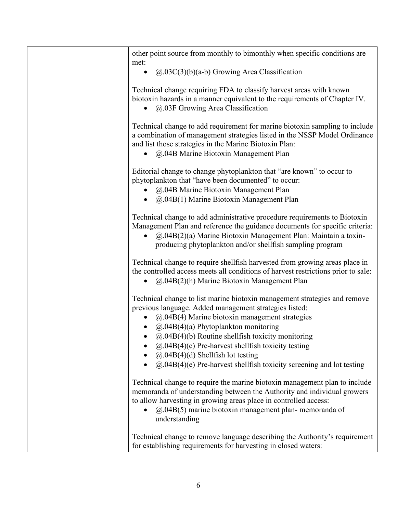| other point source from monthly to bimonthly when specific conditions are<br>met:                                                                                                                                                                                                                                                                                                                                                                                             |
|-------------------------------------------------------------------------------------------------------------------------------------------------------------------------------------------------------------------------------------------------------------------------------------------------------------------------------------------------------------------------------------------------------------------------------------------------------------------------------|
| $(a.03C(3)(b)(a-b)$ Growing Area Classification<br>$\bullet$                                                                                                                                                                                                                                                                                                                                                                                                                  |
| Technical change requiring FDA to classify harvest areas with known<br>biotoxin hazards in a manner equivalent to the requirements of Chapter IV.<br>@.03F Growing Area Classification                                                                                                                                                                                                                                                                                        |
| Technical change to add requirement for marine biotoxin sampling to include<br>a combination of management strategies listed in the NSSP Model Ordinance<br>and list those strategies in the Marine Biotoxin Plan:<br>@.04B Marine Biotoxin Management Plan<br>$\bullet$                                                                                                                                                                                                      |
| Editorial change to change phytoplankton that "are known" to occur to<br>phytoplankton that "have been documented" to occur:<br>@.04B Marine Biotoxin Management Plan<br>@.04B(1) Marine Biotoxin Management Plan<br>$\bullet$                                                                                                                                                                                                                                                |
| Technical change to add administrative procedure requirements to Biotoxin<br>Management Plan and reference the guidance documents for specific criteria:<br>@.04B(2)(a) Marine Biotoxin Management Plan: Maintain a toxin-<br>$\bullet$<br>producing phytoplankton and/or shellfish sampling program                                                                                                                                                                          |
| Technical change to require shellfish harvested from growing areas place in<br>the controlled access meets all conditions of harvest restrictions prior to sale:<br>$(a.04B(2)(h)$ Marine Biotoxin Management Plan                                                                                                                                                                                                                                                            |
| Technical change to list marine biotoxin management strategies and remove<br>previous language. Added management strategies listed:<br>@.04B(4) Marine biotoxin management strategies<br>• $(a)$ .04B(4)(a) Phytoplankton monitoring<br>$(a)$ .04B(4)(b) Routine shellfish toxicity monitoring<br>$(20.04B(4)(c)$ Pre-harvest shellfish toxicity testing<br>$(2.04B(4)(d)$ Shellfish lot testing<br>$(a)$ .04B(4)(e) Pre-harvest shellfish toxicity screening and lot testing |
| Technical change to require the marine biotoxin management plan to include<br>memoranda of understanding between the Authority and individual growers<br>to allow harvesting in growing areas place in controlled access:<br>$(a)$ .04B(5) marine biotoxin management plan-memoranda of<br>understanding                                                                                                                                                                      |
| Technical change to remove language describing the Authority's requirement<br>for establishing requirements for harvesting in closed waters:                                                                                                                                                                                                                                                                                                                                  |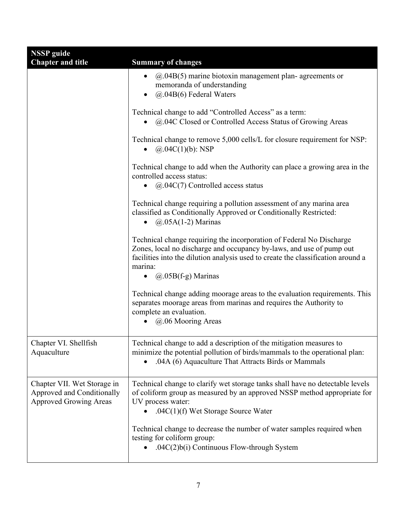| <b>NSSP</b> guide<br><b>Chapter and title</b>                                              | <b>Summary of changes</b>                                                                                                                                                                                                                                                             |
|--------------------------------------------------------------------------------------------|---------------------------------------------------------------------------------------------------------------------------------------------------------------------------------------------------------------------------------------------------------------------------------------|
|                                                                                            | $(a)$ .04B(5) marine biotoxin management plan- agreements or<br>$\bullet$<br>memoranda of understanding<br>@.04B(6) Federal Waters                                                                                                                                                    |
|                                                                                            | Technical change to add "Controlled Access" as a term:<br>@.04C Closed or Controlled Access Status of Growing Areas                                                                                                                                                                   |
|                                                                                            | Technical change to remove 5,000 cells/L for closure requirement for NSP:<br>$(a).04C(1)(b)$ : NSP                                                                                                                                                                                    |
|                                                                                            | Technical change to add when the Authority can place a growing area in the<br>controlled access status:<br>$(a)$ .04C(7) Controlled access status                                                                                                                                     |
|                                                                                            | Technical change requiring a pollution assessment of any marina area<br>classified as Conditionally Approved or Conditionally Restricted:<br>$(a)$ .05A(1-2) Marinas<br>$\bullet$                                                                                                     |
|                                                                                            | Technical change requiring the incorporation of Federal No Discharge<br>Zones, local no discharge and occupancy by-laws, and use of pump out<br>facilities into the dilution analysis used to create the classification around a<br>marina:<br>$\bullet$ ( $\omega$ .05B(f-g) Marinas |
|                                                                                            | Technical change adding moorage areas to the evaluation requirements. This<br>separates moorage areas from marinas and requires the Authority to<br>complete an evaluation.<br>@.06 Mooring Areas                                                                                     |
| Chapter VI. Shellfish<br>Aquaculture                                                       | Technical change to add a description of the mitigation measures to<br>minimize the potential pollution of birds/mammals to the operational plan:<br>.04A (6) Aquaculture That Attracts Birds or Mammals                                                                              |
| Chapter VII. Wet Storage in<br>Approved and Conditionally<br><b>Approved Growing Areas</b> | Technical change to clarify wet storage tanks shall have no detectable levels<br>of coliform group as measured by an approved NSSP method appropriate for<br>UV process water:<br>.04 $C(1)$ (f) Wet Storage Source Water                                                             |
|                                                                                            | Technical change to decrease the number of water samples required when<br>testing for coliform group:<br>.04C(2)b(i) Continuous Flow-through System<br>$\bullet$                                                                                                                      |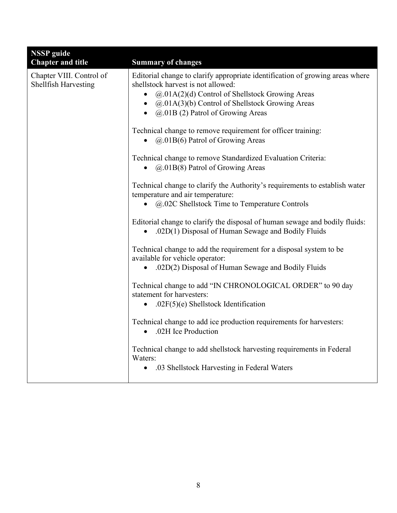| <b>NSSP</b> guide                                       |                                                                                                                                                                                                                                                                                                       |
|---------------------------------------------------------|-------------------------------------------------------------------------------------------------------------------------------------------------------------------------------------------------------------------------------------------------------------------------------------------------------|
| <b>Chapter and title</b>                                | <b>Summary of changes</b>                                                                                                                                                                                                                                                                             |
| Chapter VIII. Control of<br><b>Shellfish Harvesting</b> | Editorial change to clarify appropriate identification of growing areas where<br>shellstock harvest is not allowed:<br>@.01A(2)(d) Control of Shellstock Growing Areas<br>$\bullet$<br>• $(a.01A(3)(b)$ Control of Shellstock Growing Areas<br>$\bullet$ ( $\omega$ , 01B (2) Patrol of Growing Areas |
|                                                         | Technical change to remove requirement for officer training:<br>• $(a)$ .01B(6) Patrol of Growing Areas                                                                                                                                                                                               |
|                                                         | Technical change to remove Standardized Evaluation Criteria:<br>$(a.01B(8)$ Patrol of Growing Areas                                                                                                                                                                                                   |
|                                                         | Technical change to clarify the Authority's requirements to establish water<br>temperature and air temperature:<br>@.02C Shellstock Time to Temperature Controls<br>$\bullet$                                                                                                                         |
|                                                         | Editorial change to clarify the disposal of human sewage and bodily fluids:<br>.02D(1) Disposal of Human Sewage and Bodily Fluids                                                                                                                                                                     |
|                                                         | Technical change to add the requirement for a disposal system to be<br>available for vehicle operator:<br>• .02D(2) Disposal of Human Sewage and Bodily Fluids                                                                                                                                        |
|                                                         | Technical change to add "IN CHRONOLOGICAL ORDER" to 90 day<br>statement for harvesters:<br>.02 $F(5)(e)$ Shellstock Identification<br>$\bullet$                                                                                                                                                       |
|                                                         | Technical change to add ice production requirements for harvesters:<br>.02H Ice Production<br>$\bullet$                                                                                                                                                                                               |
|                                                         | Technical change to add shellstock harvesting requirements in Federal<br>Waters:<br>.03 Shellstock Harvesting in Federal Waters<br>$\bullet$                                                                                                                                                          |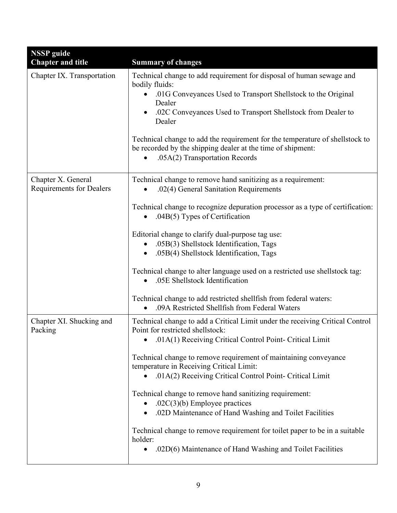| <b>NSSP</b> guide                                     |                                                                                                                                                                                                                                                                                                                                                                                                                                           |
|-------------------------------------------------------|-------------------------------------------------------------------------------------------------------------------------------------------------------------------------------------------------------------------------------------------------------------------------------------------------------------------------------------------------------------------------------------------------------------------------------------------|
| <b>Chapter and title</b>                              | <b>Summary of changes</b>                                                                                                                                                                                                                                                                                                                                                                                                                 |
| Chapter IX. Transportation                            | Technical change to add requirement for disposal of human sewage and<br>bodily fluids:<br>.01G Conveyances Used to Transport Shellstock to the Original<br>Dealer<br>.02C Conveyances Used to Transport Shellstock from Dealer to<br>Dealer<br>Technical change to add the requirement for the temperature of shellstock to<br>be recorded by the shipping dealer at the time of shipment:<br>.05A(2) Transportation Records<br>$\bullet$ |
| Chapter X. General<br><b>Requirements for Dealers</b> | Technical change to remove hand sanitizing as a requirement:<br>.02(4) General Sanitation Requirements                                                                                                                                                                                                                                                                                                                                    |
|                                                       | Technical change to recognize depuration processor as a type of certification:<br>$.04B(5)$ Types of Certification                                                                                                                                                                                                                                                                                                                        |
|                                                       | Editorial change to clarify dual-purpose tag use:<br>.05B(3) Shellstock Identification, Tags<br>.05B(4) Shellstock Identification, Tags                                                                                                                                                                                                                                                                                                   |
|                                                       | Technical change to alter language used on a restricted use shellstock tag:<br>.05E Shellstock Identification                                                                                                                                                                                                                                                                                                                             |
|                                                       | Technical change to add restricted shellfish from federal waters:<br>.09A Restricted Shellfish from Federal Waters                                                                                                                                                                                                                                                                                                                        |
| Chapter XI. Shucking and<br>Packing                   | Technical change to add a Critical Limit under the receiving Critical Control<br>Point for restricted shellstock:<br>.01A(1) Receiving Critical Control Point- Critical Limit                                                                                                                                                                                                                                                             |
|                                                       | Technical change to remove requirement of maintaining conveyance<br>temperature in Receiving Critical Limit:<br>.01A(2) Receiving Critical Control Point- Critical Limit                                                                                                                                                                                                                                                                  |
|                                                       | Technical change to remove hand sanitizing requirement:<br>.02C $(3)(b)$ Employee practices<br>.02D Maintenance of Hand Washing and Toilet Facilities                                                                                                                                                                                                                                                                                     |
|                                                       | Technical change to remove requirement for toilet paper to be in a suitable<br>holder:<br>.02D(6) Maintenance of Hand Washing and Toilet Facilities<br>$\bullet$                                                                                                                                                                                                                                                                          |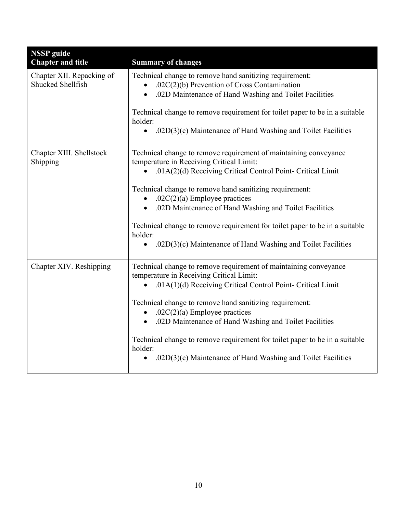| <b>NSSP</b> guide<br><b>Chapter and title</b>  | <b>Summary of changes</b>                                                                                                                                                                                                                                                                                                                                                                                                                                                                                |
|------------------------------------------------|----------------------------------------------------------------------------------------------------------------------------------------------------------------------------------------------------------------------------------------------------------------------------------------------------------------------------------------------------------------------------------------------------------------------------------------------------------------------------------------------------------|
| Chapter XII. Repacking of<br>Shucked Shellfish | Technical change to remove hand sanitizing requirement:<br>.02 $C(2)$ (b) Prevention of Cross Contamination<br>.02D Maintenance of Hand Washing and Toilet Facilities<br>Technical change to remove requirement for toilet paper to be in a suitable<br>holder:<br>.02D(3)(c) Maintenance of Hand Washing and Toilet Facilities<br>$\bullet$                                                                                                                                                             |
| Chapter XIII. Shellstock<br>Shipping           | Technical change to remove requirement of maintaining conveyance<br>temperature in Receiving Critical Limit:<br>.01A(2)(d) Receiving Critical Control Point- Critical Limit<br>Technical change to remove hand sanitizing requirement:<br>.02C(2)(a) Employee practices<br>.02D Maintenance of Hand Washing and Toilet Facilities<br>Technical change to remove requirement for toilet paper to be in a suitable<br>holder:<br>.02D(3)(c) Maintenance of Hand Washing and Toilet Facilities<br>$\bullet$ |
| Chapter XIV. Reshipping                        | Technical change to remove requirement of maintaining conveyance<br>temperature in Receiving Critical Limit:<br>.01A(1)(d) Receiving Critical Control Point- Critical Limit<br>Technical change to remove hand sanitizing requirement:<br>.02C $(2)(a)$ Employee practices<br>.02D Maintenance of Hand Washing and Toilet Facilities<br>Technical change to remove requirement for toilet paper to be in a suitable<br>holder:<br>.02D(3)(c) Maintenance of Hand Washing and Toilet Facilities           |